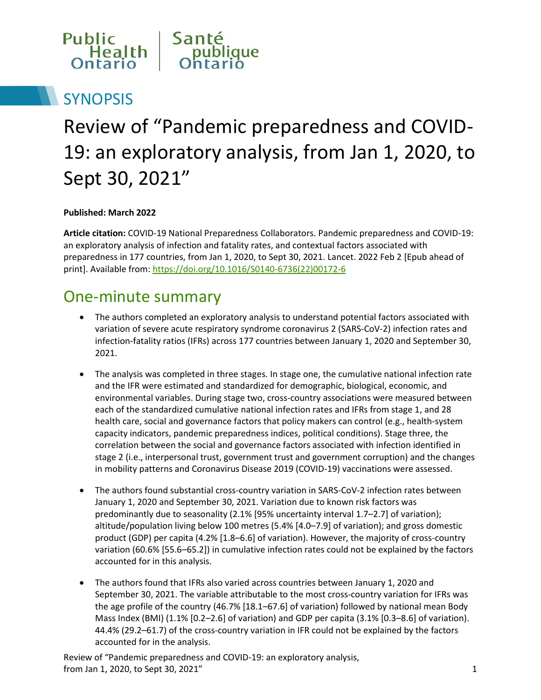

# **SYNOPSIS**

# Review of "Pandemic preparedness and COVID-19: an exploratory analysis, from Jan 1, 2020, to Sept 30, 2021"

**Published: March 2022**

**Article citation:** COVID-19 National Preparedness Collaborators. Pandemic preparedness and COVID-19: an exploratory analysis of infection and fatality rates, and contextual factors associated with preparedness in 177 countries, from Jan 1, 2020, to Sept 30, 2021. Lancet. 2022 Feb 2 [Epub ahead of print]. Available from[: https://doi.org/10.1016/S0140-6736\(22\)00172-6](https://doi.org/10.1016/S0140-6736(22)00172-6)

#### One-minute summary

- The authors completed an exploratory analysis to understand potential factors associated with variation of severe acute respiratory syndrome coronavirus 2 (SARS-CoV-2) infection rates and infection-fatality ratios (IFRs) across 177 countries between January 1, 2020 and September 30, 2021.
- The analysis was completed in three stages. In stage one, the cumulative national infection rate and the IFR were estimated and standardized for demographic, biological, economic, and environmental variables. During stage two, cross-country associations were measured between each of the standardized cumulative national infection rates and IFRs from stage 1, and 28 health care, social and governance factors that policy makers can control (e.g., health-system capacity indicators, pandemic preparedness indices, political conditions). Stage three, the correlation between the social and governance factors associated with infection identified in stage 2 (i.e., interpersonal trust, government trust and government corruption) and the changes in mobility patterns and Coronavirus Disease 2019 (COVID-19) vaccinations were assessed.
- The authors found substantial cross-country variation in SARS-CoV-2 infection rates between January 1, 2020 and September 30, 2021. Variation due to known risk factors was predominantly due to seasonality (2.1% [95% uncertainty interval 1.7–2.7] of variation); altitude/population living below 100 metres (5.4% [4.0–7.9] of variation); and gross domestic product (GDP) per capita (4.2% [1.8–6.6] of variation). However, the majority of cross-country variation (60.6% [55.6–65.2]) in cumulative infection rates could not be explained by the factors accounted for in this analysis.
- The authors found that IFRs also varied across countries between January 1, 2020 and September 30, 2021. The variable attributable to the most cross-country variation for IFRs was the age profile of the country (46.7% [18.1–67.6] of variation) followed by national mean Body Mass Index (BMI) (1.1% [0.2–2.6] of variation) and GDP per capita (3.1% [0.3–8.6] of variation). 44.4% (29.2–61.7) of the cross-country variation in IFR could not be explained by the factors accounted for in the analysis.

Review of "Pandemic preparedness and COVID-19: an exploratory analysis, from Jan 1, 2020, to Sept 30, 2021" 1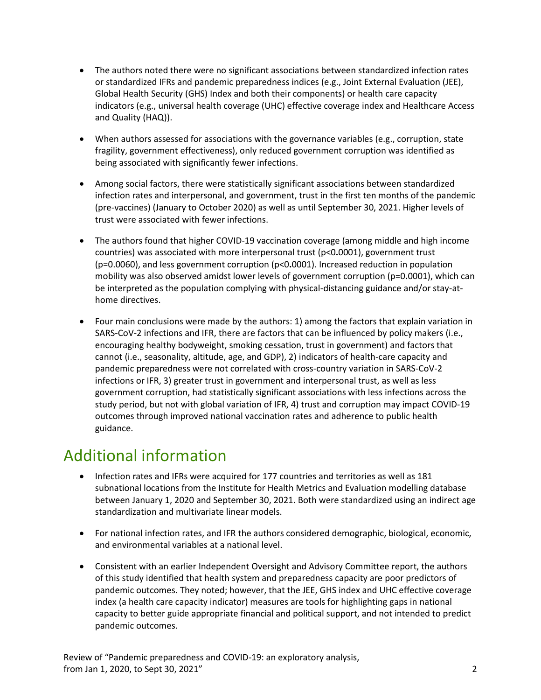- The authors noted there were no significant associations between standardized infection rates or standardized IFRs and pandemic preparedness indices (e.g., Joint External Evaluation (JEE), Global Health Security (GHS) Index and both their components) or health care capacity indicators (e.g., universal health coverage (UHC) effective coverage index and Healthcare Access and Quality (HAQ)).
- When authors assessed for associations with the governance variables (e.g., corruption, state fragility, government effectiveness), only reduced government corruption was identified as being associated with significantly fewer infections.
- Among social factors, there were statistically significant associations between standardized infection rates and interpersonal, and government, trust in the first ten months of the pandemic (pre-vaccines) (January to October 2020) as well as until September 30, 2021. Higher levels of trust were associated with fewer infections.
- The authors found that higher COVID-19 vaccination coverage (among middle and high income countries) was associated with more interpersonal trust (p<0**.**0001), government trust (p=0.0060), and less government corruption (p<0**.**0001). Increased reduction in population mobility was also observed amidst lower levels of government corruption (p=0**.**0001), which can be interpreted as the population complying with physical-distancing guidance and/or stay-athome directives.
- Four main conclusions were made by the authors: 1) among the factors that explain variation in SARS-CoV-2 infections and IFR, there are factors that can be influenced by policy makers (i.e., encouraging healthy bodyweight, smoking cessation, trust in government) and factors that cannot (i.e., seasonality, altitude, age, and GDP), 2) indicators of health-care capacity and pandemic preparedness were not correlated with cross-country variation in SARS-CoV-2 infections or IFR, 3) greater trust in government and interpersonal trust, as well as less government corruption, had statistically significant associations with less infections across the study period, but not with global variation of IFR, 4) trust and corruption may impact COVID-19 outcomes through improved national vaccination rates and adherence to public health guidance.

#### Additional information

- Infection rates and IFRs were acquired for 177 countries and territories as well as 181 subnational locations from the Institute for Health Metrics and Evaluation modelling database between January 1, 2020 and September 30, 2021. Both were standardized using an indirect age standardization and multivariate linear models.
- For national infection rates, and IFR the authors considered demographic, biological, economic, and environmental variables at a national level.
- Consistent with an earlier Independent Oversight and Advisory Committee report, the authors of this study identified that health system and preparedness capacity are poor predictors of pandemic outcomes. They noted; however, that the JEE, GHS index and UHC effective coverage index (a health care capacity indicator) measures are tools for highlighting gaps in national capacity to better guide appropriate financial and political support, and not intended to predict pandemic outcomes.

Review of "Pandemic preparedness and COVID-19: an exploratory analysis, from Jan 1, 2020, to Sept 30, 2021" 2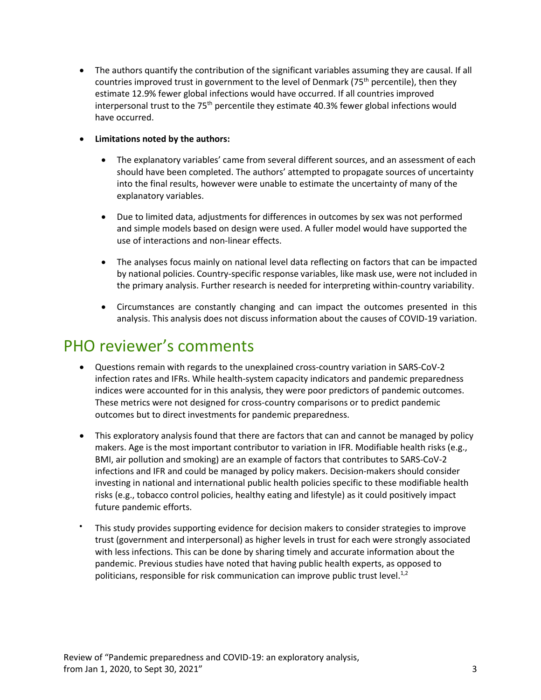The authors quantify the contribution of the significant variables assuming they are causal. If all countries improved trust in government to the level of Denmark (75<sup>th</sup> percentile), then they estimate 12.9% fewer global infections would have occurred. If all countries improved interpersonal trust to the 75<sup>th</sup> percentile they estimate 40.3% fewer global infections would have occurred.

#### **Limitations noted by the authors:**

- The explanatory variables' came from several different sources, and an assessment of each should have been completed. The authors' attempted to propagate sources of uncertainty into the final results, however were unable to estimate the uncertainty of many of the explanatory variables.
- Due to limited data, adjustments for differences in outcomes by sex was not performed and simple models based on design were used. A fuller model would have supported the use of interactions and non-linear effects.
- The analyses focus mainly on national level data reflecting on factors that can be impacted by national policies. Country-specific response variables, like mask use, were not included in the primary analysis. Further research is needed for interpreting within-country variability.
- Circumstances are constantly changing and can impact the outcomes presented in this analysis. This analysis does not discuss information about the causes of COVID-19 variation.

#### PHO reviewer's comments

- Questions remain with regards to the unexplained cross-country variation in SARS-CoV-2 infection rates and IFRs. While health-system capacity indicators and pandemic preparedness indices were accounted for in this analysis, they were poor predictors of pandemic outcomes. These metrics were not designed for cross-country comparisons or to predict pandemic outcomes but to direct investments for pandemic preparedness.
- This exploratory analysis found that there are factors that can and cannot be managed by policy makers. Age is the most important contributor to variation in IFR. Modifiable health risks (e.g., BMI, air pollution and smoking) are an example of factors that contributes to SARS-CoV-2 infections and IFR and could be managed by policy makers. Decision-makers should consider investing in national and international public health policies specific to these modifiable health risks (e.g., tobacco control policies, healthy eating and lifestyle) as it could positively impact future pandemic efforts.
- This study provides supporting evidence for decision makers to consider strategies to improve trust (government and interpersonal) as higher levels in trust for each were strongly associated with less infections. This can be done by sharing timely and accurate information about the pandemic. Previous studies have noted that having public health experts, as opposed to politicians, responsible for risk communication can improve public trust level.<sup>1,2</sup>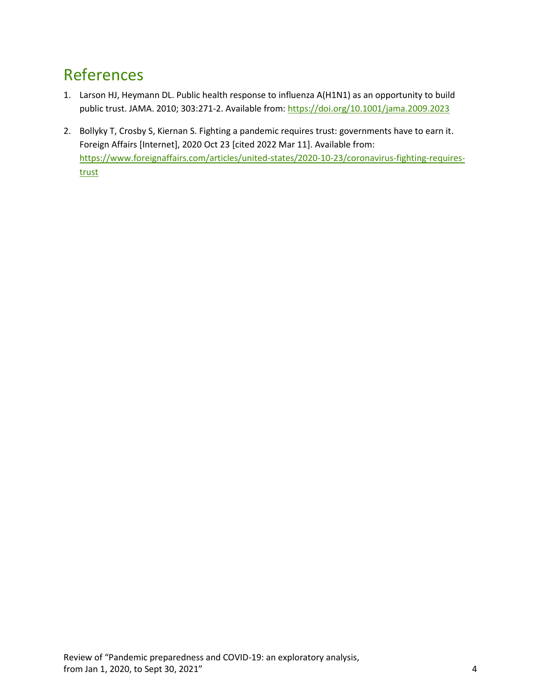## References

- 1. Larson HJ, Heymann DL. Public health response to influenza A(H1N1) as an opportunity to build public trust. JAMA. 2010; 303:271-2. Available from[: https://doi.org/10.1001/jama.2009.2023](https://doi.org/10.1001/jama.2009.2023)
- 2. Bollyky T, Crosby S, Kiernan S. Fighting a pandemic requires trust: governments have to earn it. Foreign Affairs [Internet], 2020 Oct 23 [cited 2022 Mar 11]. Available from: [https://www.foreignaffairs.com/articles/united-states/2020-10-23/coronavirus-fighting-requires](https://www.foreignaffairs.com/articles/united-states/2020-10-23/coronavirus-fighting-requires-trust)[trust](https://www.foreignaffairs.com/articles/united-states/2020-10-23/coronavirus-fighting-requires-trust)